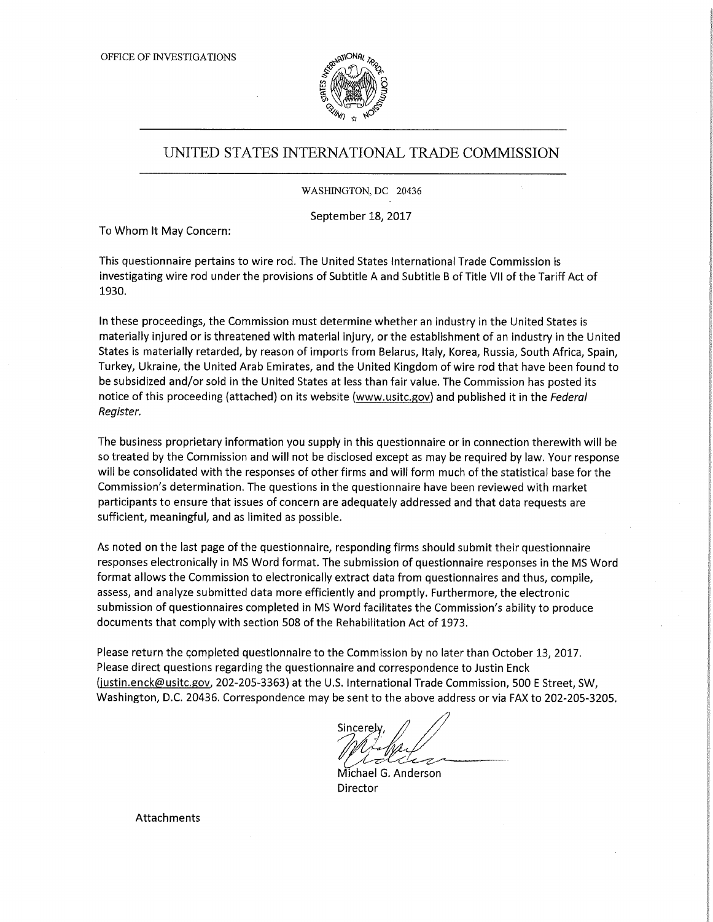

## UNITED STATES INTERNATIONAL TRADE COMMISSION

WASHINGTON, DC 20436

September 18, 2017

To Whom It May Concern:

This questionnaire pertains to wire rod. The United States International Trade Commission is investigating wire rod under the provisions of Subtitle A and Subtitle B of Title VII of the Tariff Act of 1930.

In these proceedings, the Commission must determine whether an industry in the United States is materially injured or is threatened with material injury, or the establishment of an industry in the United States is materially retarded, by reason of imports from Belarus, Italy, Korea, Russia, South Africa, Spain, Turkey, Ukraine, the United Arab Emirates, and the United Kingdom of wire rod that have been found to be subsidized and/or sold in the United States at less than fair value. The Commission has posted its notice of this proceeding (attached) on its website (www.usitc.gov) and published it in the Federal Register,

The business proprietary information you supply in this questionnaire or in connection therewith will be so treated by the Commission and will not be disclosed except as may be required by law. Your response will be consolidated with the responses of other firms and will form much of the statistical base for the Commission's determination. The questions in the questionnaire have been reviewed with market participants to ensure that issues of concern are adequately addressed and that data requests are sufficient, meaningful, and as limited as possible.

As noted on the last page of the questionnaire, responding firms should submit their questionnaire responses electronically in MS Word format. The submission of questionnaire responses in the MS Word format allows the Commission to electronically extract data from questionnaires and thus, compile, assess, and analyze submitted data more efficiently and promptly. Furthermore, the electronic submission of questionnaires completed in MS Word facilitates the Commission's ability to produce documents that comply with section 508 of the Rehabilitation Act of 1973.

Please return the completed questionnaire to the Commission by no later than October 13, 2017. Please direct questions regarding the questionnaire and correspondence to Justin Enck (justin.enck@usitc.gov, 202-205-3363) at the U.S. International Trade Commission, 500 E Street, SW, Washington, D.C. 20436. Correspondence may be sent to the above address or via FAX to 202-205-3205.

ℳ

Michael G. Anderson Director

Attachments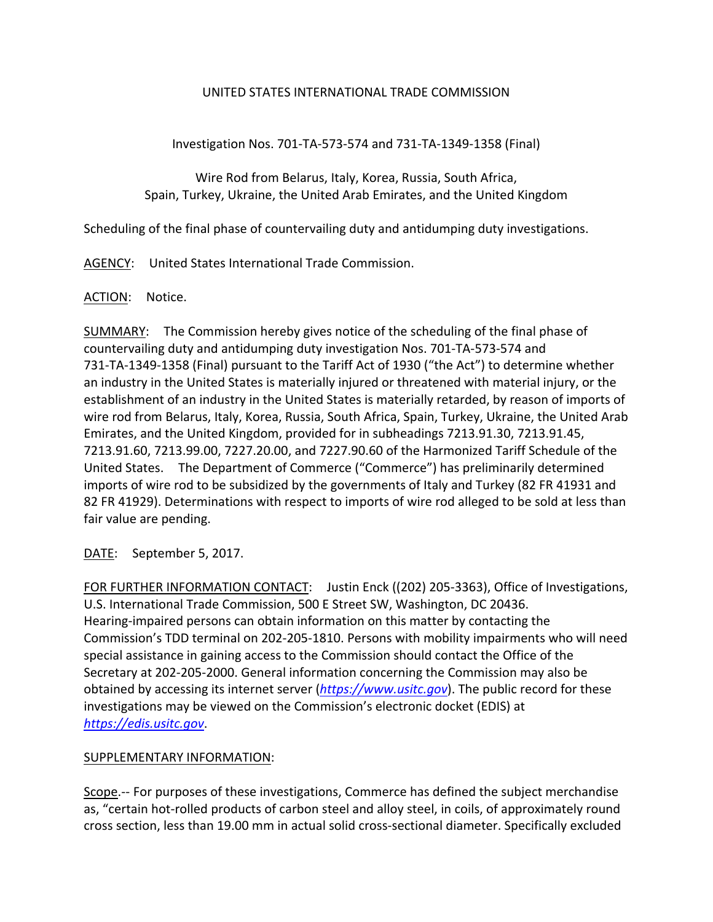## UNITED STATES INTERNATIONAL TRADE COMMISSION

Investigation Nos. 701‐TA‐573‐574 and 731‐TA‐1349‐1358 (Final)

Wire Rod from Belarus, Italy, Korea, Russia, South Africa, Spain, Turkey, Ukraine, the United Arab Emirates, and the United Kingdom

Scheduling of the final phase of countervailing duty and antidumping duty investigations.

AGENCY: United States International Trade Commission.

## ACTION: Notice.

SUMMARY: The Commission hereby gives notice of the scheduling of the final phase of countervailing duty and antidumping duty investigation Nos. 701‐TA‐573‐574 and 731‐TA‐1349‐1358 (Final) pursuant to the Tariff Act of 1930 ("the Act") to determine whether an industry in the United States is materially injured or threatened with material injury, or the establishment of an industry in the United States is materially retarded, by reason of imports of wire rod from Belarus, Italy, Korea, Russia, South Africa, Spain, Turkey, Ukraine, the United Arab Emirates, and the United Kingdom, provided for in subheadings 7213.91.30, 7213.91.45, 7213.91.60, 7213.99.00, 7227.20.00, and 7227.90.60 of the Harmonized Tariff Schedule of the United States. The Department of Commerce ("Commerce") has preliminarily determined imports of wire rod to be subsidized by the governments of Italy and Turkey (82 FR 41931 and 82 FR 41929). Determinations with respect to imports of wire rod alleged to be sold at less than fair value are pending.

DATE: September 5, 2017.

FOR FURTHER INFORMATION CONTACT: Justin Enck ((202) 205-3363), Office of Investigations, U.S. International Trade Commission, 500 E Street SW, Washington, DC 20436. Hearing‐impaired persons can obtain information on this matter by contacting the Commission's TDD terminal on 202‐205‐1810. Persons with mobility impairments who will need special assistance in gaining access to the Commission should contact the Office of the Secretary at 202‐205‐2000. General information concerning the Commission may also be obtained by accessing its internet server (*https://www.usitc.gov*). The public record for these investigations may be viewed on the Commission's electronic docket (EDIS) at *https://edis.usitc.gov*.

## SUPPLEMENTARY INFORMATION:

Scope.-- For purposes of these investigations, Commerce has defined the subject merchandise as, "certain hot-rolled products of carbon steel and alloy steel, in coils, of approximately round cross section, less than 19.00 mm in actual solid cross‐sectional diameter. Specifically excluded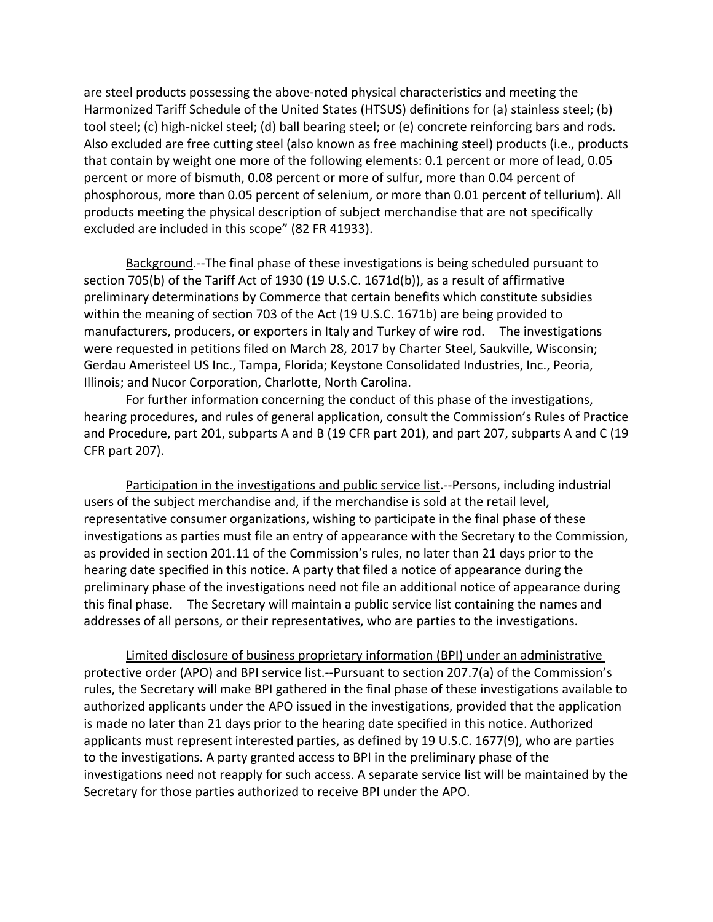are steel products possessing the above‐noted physical characteristics and meeting the Harmonized Tariff Schedule of the United States (HTSUS) definitions for (a) stainless steel; (b) tool steel; (c) high‐nickel steel; (d) ball bearing steel; or (e) concrete reinforcing bars and rods. Also excluded are free cutting steel (also known as free machining steel) products (i.e., products that contain by weight one more of the following elements: 0.1 percent or more of lead, 0.05 percent or more of bismuth, 0.08 percent or more of sulfur, more than 0.04 percent of phosphorous, more than 0.05 percent of selenium, or more than 0.01 percent of tellurium). All products meeting the physical description of subject merchandise that are not specifically excluded are included in this scope" (82 FR 41933).

Background.‐‐The final phase of these investigations is being scheduled pursuant to section 705(b) of the Tariff Act of 1930 (19 U.S.C. 1671d(b)), as a result of affirmative preliminary determinations by Commerce that certain benefits which constitute subsidies within the meaning of section 703 of the Act (19 U.S.C. 1671b) are being provided to manufacturers, producers, or exporters in Italy and Turkey of wire rod. The investigations were requested in petitions filed on March 28, 2017 by Charter Steel, Saukville, Wisconsin; Gerdau Ameristeel US Inc., Tampa, Florida; Keystone Consolidated Industries, Inc., Peoria, Illinois; and Nucor Corporation, Charlotte, North Carolina.

For further information concerning the conduct of this phase of the investigations, hearing procedures, and rules of general application, consult the Commission's Rules of Practice and Procedure, part 201, subparts A and B (19 CFR part 201), and part 207, subparts A and C (19 CFR part 207).

Participation in the investigations and public service list.‐‐Persons, including industrial users of the subject merchandise and, if the merchandise is sold at the retail level, representative consumer organizations, wishing to participate in the final phase of these investigations as parties must file an entry of appearance with the Secretary to the Commission, as provided in section 201.11 of the Commission's rules, no later than 21 days prior to the hearing date specified in this notice. A party that filed a notice of appearance during the preliminary phase of the investigations need not file an additional notice of appearance during this final phase. The Secretary will maintain a public service list containing the names and addresses of all persons, or their representatives, who are parties to the investigations.

Limited disclosure of business proprietary information (BPI) under an administrative protective order (APO) and BPI service list.‐‐Pursuant to section 207.7(a) of the Commission's rules, the Secretary will make BPI gathered in the final phase of these investigations available to authorized applicants under the APO issued in the investigations, provided that the application is made no later than 21 days prior to the hearing date specified in this notice. Authorized applicants must represent interested parties, as defined by 19 U.S.C. 1677(9), who are parties to the investigations. A party granted access to BPI in the preliminary phase of the investigations need not reapply for such access. A separate service list will be maintained by the Secretary for those parties authorized to receive BPI under the APO.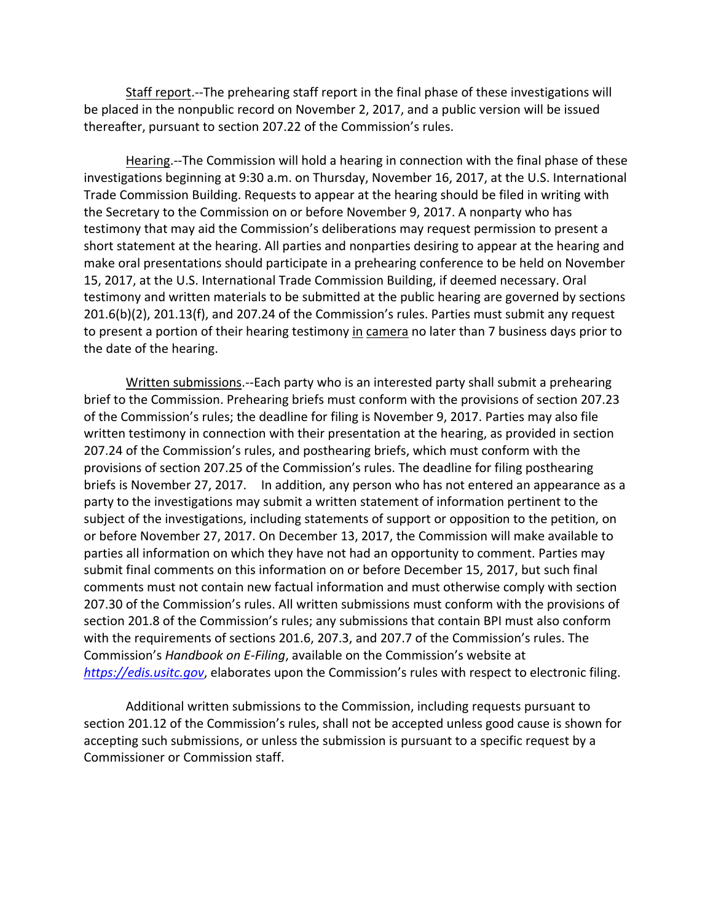Staff report.‐‐The prehearing staff report in the final phase of these investigations will be placed in the nonpublic record on November 2, 2017, and a public version will be issued thereafter, pursuant to section 207.22 of the Commission's rules.

Hearing.‐‐The Commission will hold a hearing in connection with the final phase of these investigations beginning at 9:30 a.m. on Thursday, November 16, 2017, at the U.S. International Trade Commission Building. Requests to appear at the hearing should be filed in writing with the Secretary to the Commission on or before November 9, 2017. A nonparty who has testimony that may aid the Commission's deliberations may request permission to present a short statement at the hearing. All parties and nonparties desiring to appear at the hearing and make oral presentations should participate in a prehearing conference to be held on November 15, 2017, at the U.S. International Trade Commission Building, if deemed necessary. Oral testimony and written materials to be submitted at the public hearing are governed by sections 201.6(b)(2), 201.13(f), and 207.24 of the Commission's rules. Parties must submit any request to present a portion of their hearing testimony in camera no later than 7 business days prior to the date of the hearing.

Written submissions.‐‐Each party who is an interested party shall submit a prehearing brief to the Commission. Prehearing briefs must conform with the provisions of section 207.23 of the Commission's rules; the deadline for filing is November 9, 2017. Parties may also file written testimony in connection with their presentation at the hearing, as provided in section 207.24 of the Commission's rules, and posthearing briefs, which must conform with the provisions of section 207.25 of the Commission's rules. The deadline for filing posthearing briefs is November 27, 2017. In addition, any person who has not entered an appearance as a party to the investigations may submit a written statement of information pertinent to the subject of the investigations, including statements of support or opposition to the petition, on or before November 27, 2017. On December 13, 2017, the Commission will make available to parties all information on which they have not had an opportunity to comment. Parties may submit final comments on this information on or before December 15, 2017, but such final comments must not contain new factual information and must otherwise comply with section 207.30 of the Commission's rules. All written submissions must conform with the provisions of section 201.8 of the Commission's rules; any submissions that contain BPI must also conform with the requirements of sections 201.6, 207.3, and 207.7 of the Commission's rules. The Commission's *Handbook on E‐Filing*, available on the Commission's website at *https://edis.usitc.gov*, elaborates upon the Commission's rules with respect to electronic filing.

Additional written submissions to the Commission, including requests pursuant to section 201.12 of the Commission's rules, shall not be accepted unless good cause is shown for accepting such submissions, or unless the submission is pursuant to a specific request by a Commissioner or Commission staff.